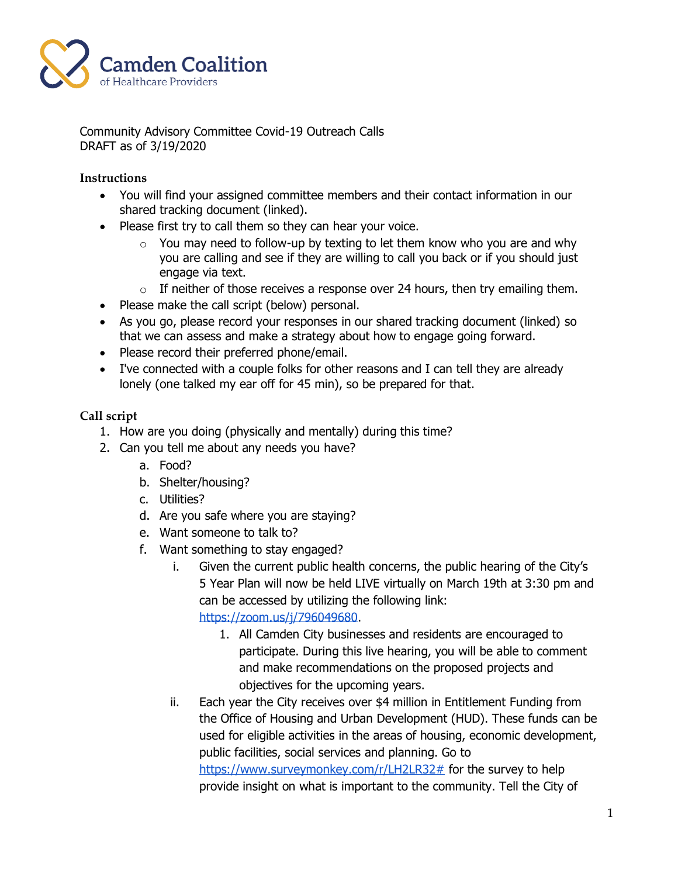

Community Advisory Committee Covid-19 Outreach Calls DRAFT as of 3/19/2020

## **Instructions**

- You will find your assigned committee members and their contact information in our shared tracking document (linked).
- Please first try to call them so they can hear your voice.
	- $\circ$  You may need to follow-up by texting to let them know who you are and why you are calling and see if they are willing to call you back or if you should just engage via text.
	- $\circ$  If neither of those receives a response over 24 hours, then try emailing them.
- Please make the call script (below) personal.
- As you go, please record your responses in our shared tracking document (linked) so that we can assess and make a strategy about how to engage going forward.
- Please record their preferred phone/email.
- I've connected with a couple folks for other reasons and I can tell they are already lonely (one talked my ear off for 45 min), so be prepared for that.

## **Call script**

- 1. How are you doing (physically and mentally) during this time?
- 2. Can you tell me about any needs you have?
	- a. Food?
	- b. Shelter/housing?
	- c. Utilities?
	- d. Are you safe where you are staying?
	- e. Want someone to talk to?
	- f. Want something to stay engaged?
		- i. Given the current public health concerns, the public hearing of the City's 5 Year Plan will now be held LIVE virtually on March 19th at 3:30 pm and can be accessed by utilizing the following link: [https://zoom.us/j/796049680.](https://zoom.us/j/796049680)
			- 1. All Camden City businesses and residents are encouraged to participate. During this live hearing, you will be able to comment and make recommendations on the proposed projects and objectives for the upcoming years.
		- ii. Each year the City receives over \$4 million in Entitlement Funding from the Office of Housing and Urban Development (HUD). These funds can be used for eligible activities in the areas of housing, economic development, public facilities, social services and planning. Go to [https://www.surveymonkey.com/r/LH2LR32#](https://www.surveymonkey.com/r/LH2LR32) for the survey to help provide insight on what is important to the community. Tell the City of